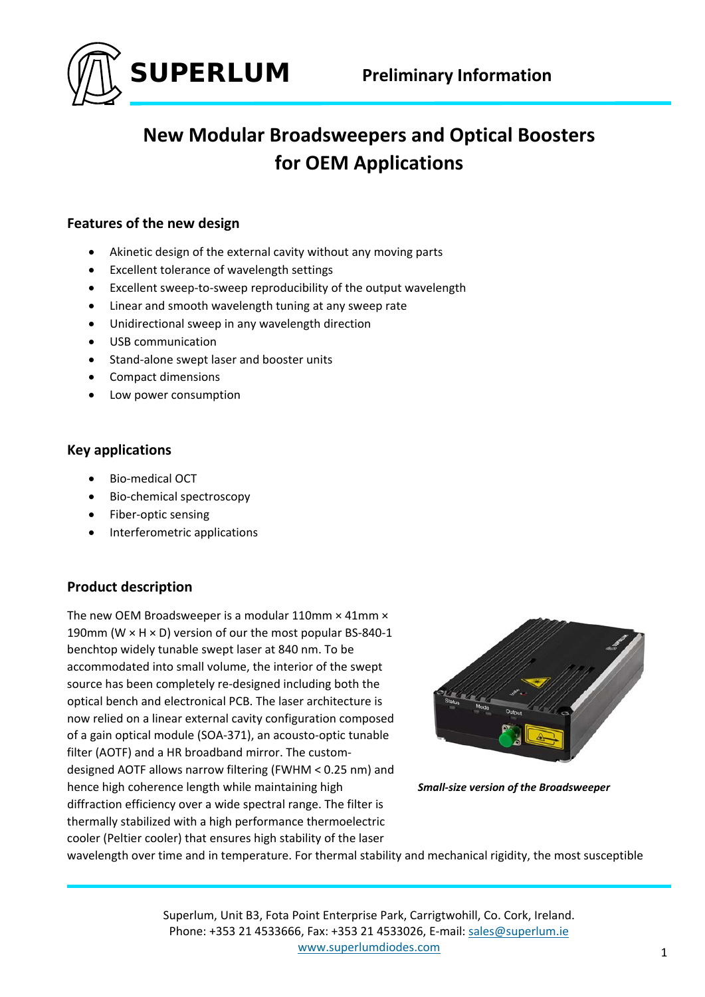

# **New Modular Broadsweepers and Optical Boosters for OEM Applications**

### **Features of the new design**

- Akinetic design of the external cavity without any moving parts
- Excellent tolerance of wavelength settings
- Excellent sweep-to-sweep reproducibility of the output wavelength
- Linear and smooth wavelength tuning at any sweep rate
- Unidirectional sweep in any wavelength direction
- USB communication
- Stand-alone swept laser and booster units
- Compact dimensions
- Low power consumption

#### **Key applications**

- Bio‐medical OCT
- Bio-chemical spectroscopy
- Fiber-optic sensing
- Interferometric applications

### **Product description**

The new OEM Broadsweeper is a modular 110mm × 41mm × 190mm (W  $\times$  H  $\times$  D) version of our the most popular BS-840-1 benchtop widely tunable swept laser at 840 nm. To be accommodated into small volume, the interior of the swept source has been completely re-designed including both the optical bench and electronical PCB. The laser architecture is now relied on a linear external cavity configuration composed of a gain optical module (SOA‐371), an acousto‐optic tunable filter (AOTF) and a HR broadband mirror. The custom‐ designed AOTF allows narrow filtering (FWHM < 0.25 nm) and hence high coherence length while maintaining high diffraction efficiency over a wide spectral range. The filter is thermally stabilized with a high performance thermoelectric cooler (Peltier cooler) that ensures high stability of the laser



*Small‐size version of the Broadsweeper*

wavelength over time and in temperature. For thermal stability and mechanical rigidity, the most susceptible

Superlum, Unit B3, Fota Point Enterprise Park, Carrigtwohill, Co. Cork, Ireland. Phone: +353 21 4533666, Fax: +353 21 4533026, E‐mail: sales@superlum.ie www.superlumdiodes.com and a state of the state of the state of the state of the state of the state of the state of the state of the state of the state of the state of the state of the state of the state of the state of th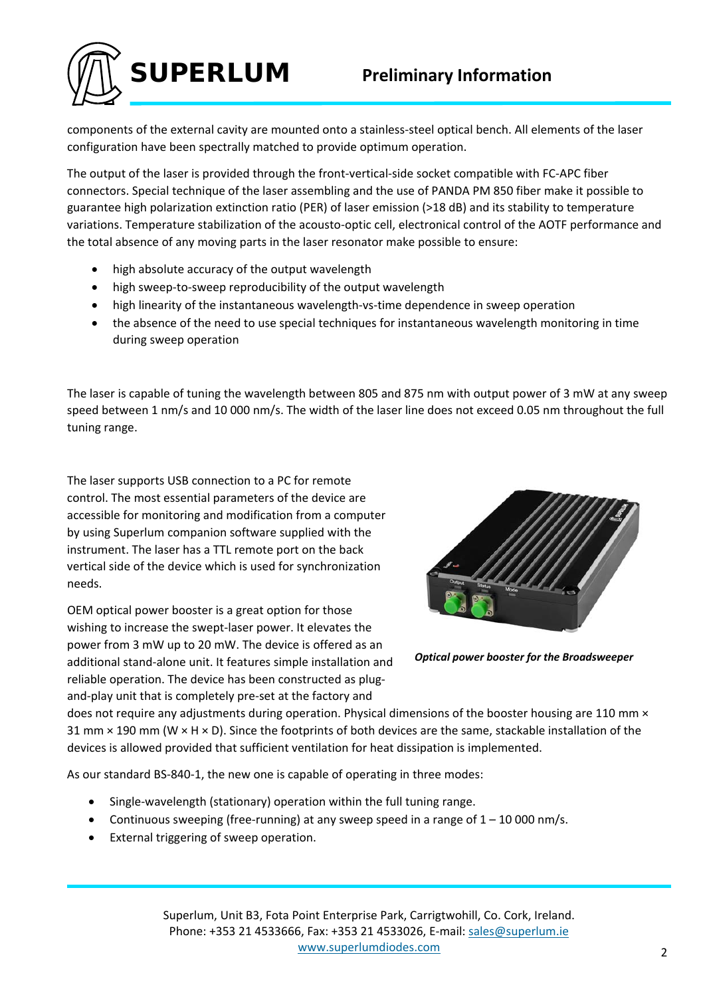

components of the external cavity are mounted onto a stainless‐steel optical bench. All elements of the laser configuration have been spectrally matched to provide optimum operation.

The output of the laser is provided through the front‐vertical‐side socket compatible with FC‐APC fiber connectors. Special technique of the laser assembling and the use of PANDA PM 850 fiber make it possible to guarantee high polarization extinction ratio (PER) of laser emission (>18 dB) and its stability to temperature variations. Temperature stabilization of the acousto‐optic cell, electronical control of the AOTF performance and the total absence of any moving parts in the laser resonator make possible to ensure:

- high absolute accuracy of the output wavelength
- high sweep‐to‐sweep reproducibility of the output wavelength
- high linearity of the instantaneous wavelength‐vs‐time dependence in sweep operation
- the absence of the need to use special techniques for instantaneous wavelength monitoring in time during sweep operation

The laser is capable of tuning the wavelength between 805 and 875 nm with output power of 3 mW at any sweep speed between 1 nm/s and 10 000 nm/s. The width of the laser line does not exceed 0.05 nm throughout the full tuning range.

The laser supports USB connection to a PC for remote control. The most essential parameters of the device are accessible for monitoring and modification from a computer by using Superlum companion software supplied with the instrument. The laser has a TTL remote port on the back vertical side of the device which is used for synchronization needs.

OEM optical power booster is a great option for those wishing to increase the swept‐laser power. It elevates the power from 3 mW up to 20 mW. The device is offered as an additional stand‐alone unit. It features simple installation and reliable operation. The device has been constructed as plug‐ and‐play unit that is completely pre‐set at the factory and



*Optical power booster for the Broadsweeper*

does not require any adjustments during operation. Physical dimensions of the booster housing are 110 mm  $\times$ 31 mm  $\times$  190 mm (W  $\times$  H  $\times$  D). Since the footprints of both devices are the same, stackable installation of the devices is allowed provided that sufficient ventilation for heat dissipation is implemented.

As our standard BS‐840‐1, the new one is capable of operating in three modes:

- Single‐wavelength (stationary) operation within the full tuning range.
- Continuous sweeping (free-running) at any sweep speed in a range of  $1 10000$  nm/s.
- External triggering of sweep operation.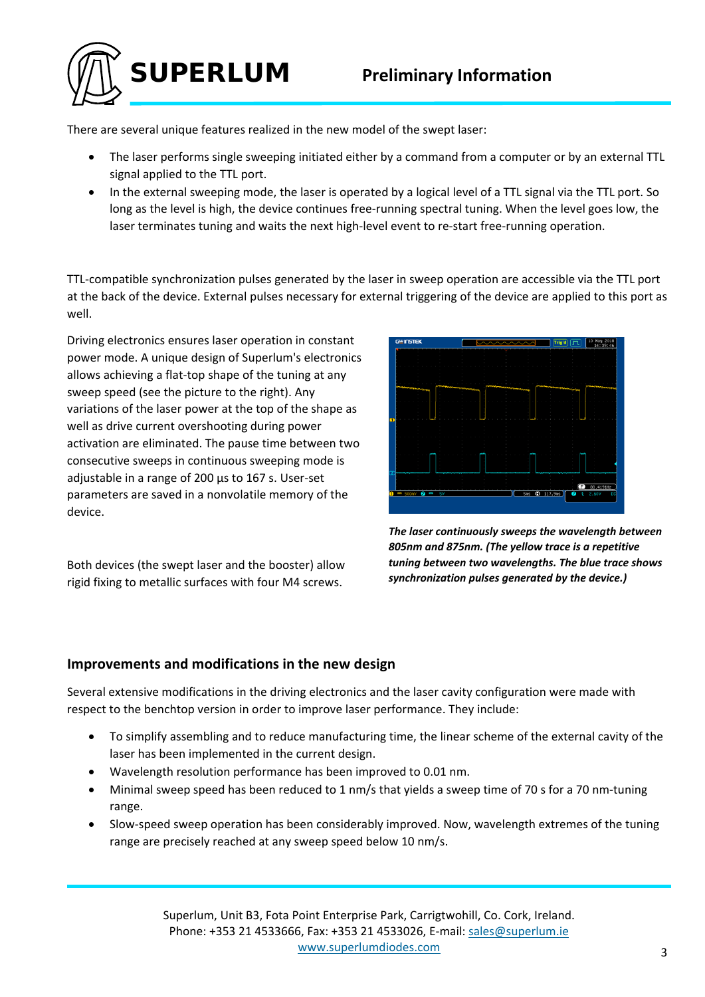# **Preliminary Information**

There are several unique features realized in the new model of the swept laser:

**SUPERLUM**

- The laser performs single sweeping initiated either by a command from a computer or by an external TTL signal applied to the TTL port.
- In the external sweeping mode, the laser is operated by a logical level of a TTL signal via the TTL port. So long as the level is high, the device continues free‐running spectral tuning. When the level goes low, the laser terminates tuning and waits the next high-level event to re-start free-running operation.

TTL‐compatible synchronization pulses generated by the laser in sweep operation are accessible via the TTL port at the back of the device. External pulses necessary for external triggering of the device are applied to this port as well.

Driving electronics ensures laser operation in constant power mode. A unique design of Superlum's electronics allows achieving a flat‐top shape of the tuning at any sweep speed (see the picture to the right). Any variations of the laser power at the top of the shape as well as drive current overshooting during power activation are eliminated. The pause time between two consecutive sweeps in continuous sweeping mode is adjustable in a range of 200 µs to 167 s. User‐set parameters are saved in a nonvolatile memory of the device.

Both devices (the swept laser and the booster) allow rigid fixing to metallic surfaces with four M4 screws.



*The laser continuously sweeps the wavelength between 805nm and 875nm. (The yellow trace is a repetitive tuning between two wavelengths. The blue trace shows synchronization pulses generated by the device.)*

#### **Improvements and modifications in the new design**

Several extensive modifications in the driving electronics and the laser cavity configuration were made with respect to the benchtop version in order to improve laser performance. They include:

- To simplify assembling and to reduce manufacturing time, the linear scheme of the external cavity of the laser has been implemented in the current design.
- Wavelength resolution performance has been improved to 0.01 nm.
- Minimal sweep speed has been reduced to 1 nm/s that yields a sweep time of 70 s for a 70 nm-tuning range.
- Slow‐speed sweep operation has been considerably improved. Now, wavelength extremes of the tuning range are precisely reached at any sweep speed below 10 nm/s.